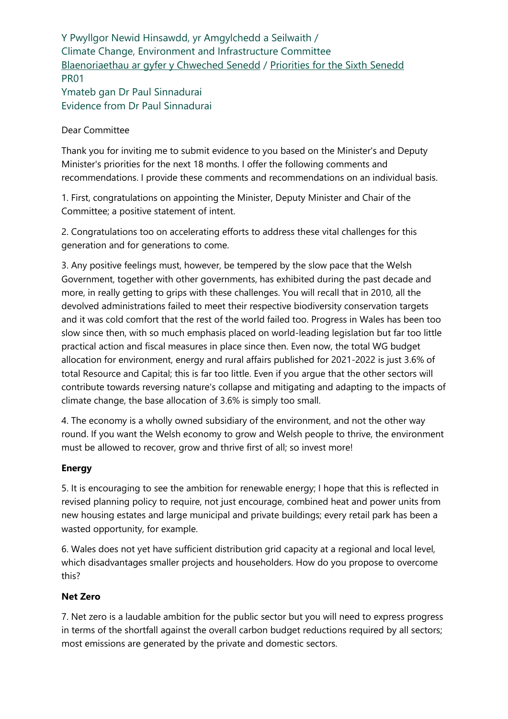Y Pwyllgor Newid Hinsawdd, yr Amgylchedd a Seilwaith / Climate Change, Environment and Infrastructure Committee [Blaenoriaethau ar gyfer y Chweched Senedd](https://busnes.senedd.cymru/mgConsultationDisplay.aspx?id=427&RPID=1026452002&cp=yes) / [Priorities for the Sixth Senedd](https://business.senedd.wales/mgConsultationDisplay.aspx?id=427&RPID=1026452002&cp=yes) PR01 Ymateb gan Dr Paul Sinnadurai Evidence from Dr Paul Sinnadurai

### Dear Committee

Thank you for inviting me to submit evidence to you based on the Minister's and Deputy Minister's priorities for the next 18 months. I offer the following comments and recommendations. I provide these comments and recommendations on an individual basis.

1. First, congratulations on appointing the Minister, Deputy Minister and Chair of the Committee; a positive statement of intent.

2. Congratulations too on accelerating efforts to address these vital challenges for this generation and for generations to come.

3. Any positive feelings must, however, be tempered by the slow pace that the Welsh Government, together with other governments, has exhibited during the past decade and more, in really getting to grips with these challenges. You will recall that in 2010, all the devolved administrations failed to meet their respective biodiversity conservation targets and it was cold comfort that the rest of the world failed too. Progress in Wales has been too slow since then, with so much emphasis placed on world-leading legislation but far too little practical action and fiscal measures in place since then. Even now, the total WG budget allocation for environment, energy and rural affairs published for 2021-2022 is just 3.6% of total Resource and Capital; this is far too little. Even if you argue that the other sectors will contribute towards reversing nature's collapse and mitigating and adapting to the impacts of climate change, the base allocation of 3.6% is simply too small.

4. The economy is a wholly owned subsidiary of the environment, and not the other way round. If you want the Welsh economy to grow and Welsh people to thrive, the environment must be allowed to recover, grow and thrive first of all; so invest more!

#### **Energy**

5. It is encouraging to see the ambition for renewable energy; I hope that this is reflected in revised planning policy to require, not just encourage, combined heat and power units from new housing estates and large municipal and private buildings; every retail park has been a wasted opportunity, for example.

6. Wales does not yet have sufficient distribution grid capacity at a regional and local level, which disadvantages smaller projects and householders. How do you propose to overcome this?

#### **Net Zero**

7. Net zero is a laudable ambition for the public sector but you will need to express progress in terms of the shortfall against the overall carbon budget reductions required by all sectors; most emissions are generated by the private and domestic sectors.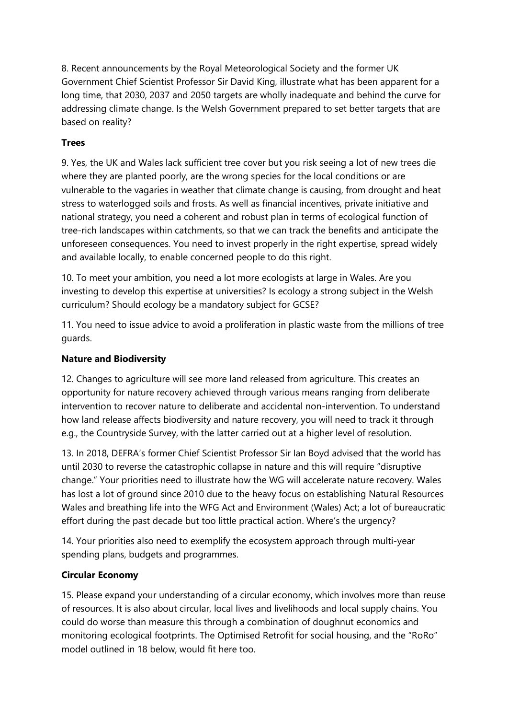8. Recent announcements by the Royal Meteorological Society and the former UK Government Chief Scientist Professor Sir David King, illustrate what has been apparent for a long time, that 2030, 2037 and 2050 targets are wholly inadequate and behind the curve for addressing climate change. Is the Welsh Government prepared to set better targets that are based on reality?

# **Trees**

9. Yes, the UK and Wales lack sufficient tree cover but you risk seeing a lot of new trees die where they are planted poorly, are the wrong species for the local conditions or are vulnerable to the vagaries in weather that climate change is causing, from drought and heat stress to waterlogged soils and frosts. As well as financial incentives, private initiative and national strategy, you need a coherent and robust plan in terms of ecological function of tree-rich landscapes within catchments, so that we can track the benefits and anticipate the unforeseen consequences. You need to invest properly in the right expertise, spread widely and available locally, to enable concerned people to do this right.

10. To meet your ambition, you need a lot more ecologists at large in Wales. Are you investing to develop this expertise at universities? Is ecology a strong subject in the Welsh curriculum? Should ecology be a mandatory subject for GCSE?

11. You need to issue advice to avoid a proliferation in plastic waste from the millions of tree guards.

# **Nature and Biodiversity**

12. Changes to agriculture will see more land released from agriculture. This creates an opportunity for nature recovery achieved through various means ranging from deliberate intervention to recover nature to deliberate and accidental non-intervention. To understand how land release affects biodiversity and nature recovery, you will need to track it through e.g., the Countryside Survey, with the latter carried out at a higher level of resolution.

13. In 2018, DEFRA's former Chief Scientist Professor Sir Ian Boyd advised that the world has until 2030 to reverse the catastrophic collapse in nature and this will require "disruptive change." Your priorities need to illustrate how the WG will accelerate nature recovery. Wales has lost a lot of ground since 2010 due to the heavy focus on establishing Natural Resources Wales and breathing life into the WFG Act and Environment (Wales) Act; a lot of bureaucratic effort during the past decade but too little practical action. Where's the urgency?

14. Your priorities also need to exemplify the ecosystem approach through multi-year spending plans, budgets and programmes.

# **Circular Economy**

15. Please expand your understanding of a circular economy, which involves more than reuse of resources. It is also about circular, local lives and livelihoods and local supply chains. You could do worse than measure this through a combination of doughnut economics and monitoring ecological footprints. The Optimised Retrofit for social housing, and the "RoRo" model outlined in 18 below, would fit here too.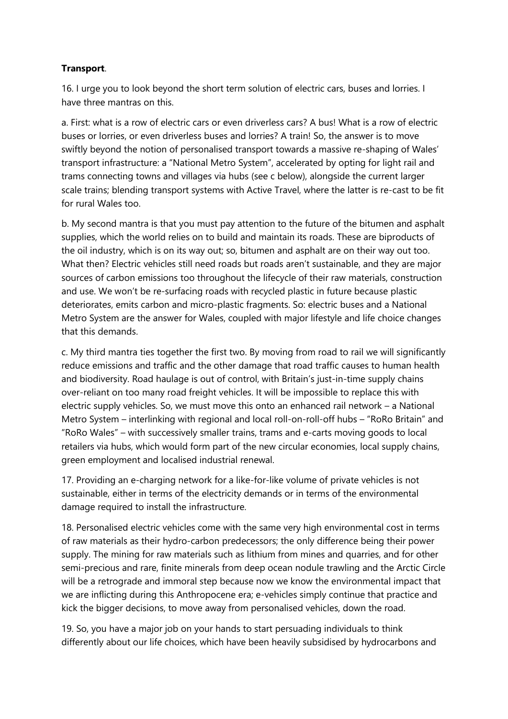# **Transport**.

16. I urge you to look beyond the short term solution of electric cars, buses and lorries. I have three mantras on this.

a. First: what is a row of electric cars or even driverless cars? A bus! What is a row of electric buses or lorries, or even driverless buses and lorries? A train! So, the answer is to move swiftly beyond the notion of personalised transport towards a massive re-shaping of Wales' transport infrastructure: a "National Metro System", accelerated by opting for light rail and trams connecting towns and villages via hubs (see c below), alongside the current larger scale trains; blending transport systems with Active Travel, where the latter is re-cast to be fit for rural Wales too.

b. My second mantra is that you must pay attention to the future of the bitumen and asphalt supplies, which the world relies on to build and maintain its roads. These are biproducts of the oil industry, which is on its way out; so, bitumen and asphalt are on their way out too. What then? Electric vehicles still need roads but roads aren't sustainable, and they are major sources of carbon emissions too throughout the lifecycle of their raw materials, construction and use. We won't be re-surfacing roads with recycled plastic in future because plastic deteriorates, emits carbon and micro-plastic fragments. So: electric buses and a National Metro System are the answer for Wales, coupled with major lifestyle and life choice changes that this demands.

c. My third mantra ties together the first two. By moving from road to rail we will significantly reduce emissions and traffic and the other damage that road traffic causes to human health and biodiversity. Road haulage is out of control, with Britain's just-in-time supply chains over-reliant on too many road freight vehicles. It will be impossible to replace this with electric supply vehicles. So, we must move this onto an enhanced rail network – a National Metro System – interlinking with regional and local roll-on-roll-off hubs – "RoRo Britain" and "RoRo Wales" – with successively smaller trains, trams and e-carts moving goods to local retailers via hubs, which would form part of the new circular economies, local supply chains, green employment and localised industrial renewal.

17. Providing an e-charging network for a like-for-like volume of private vehicles is not sustainable, either in terms of the electricity demands or in terms of the environmental damage required to install the infrastructure.

18. Personalised electric vehicles come with the same very high environmental cost in terms of raw materials as their hydro-carbon predecessors; the only difference being their power supply. The mining for raw materials such as lithium from mines and quarries, and for other semi-precious and rare, finite minerals from deep ocean nodule trawling and the Arctic Circle will be a retrograde and immoral step because now we know the environmental impact that we are inflicting during this Anthropocene era; e-vehicles simply continue that practice and kick the bigger decisions, to move away from personalised vehicles, down the road.

19. So, you have a major job on your hands to start persuading individuals to think differently about our life choices, which have been heavily subsidised by hydrocarbons and